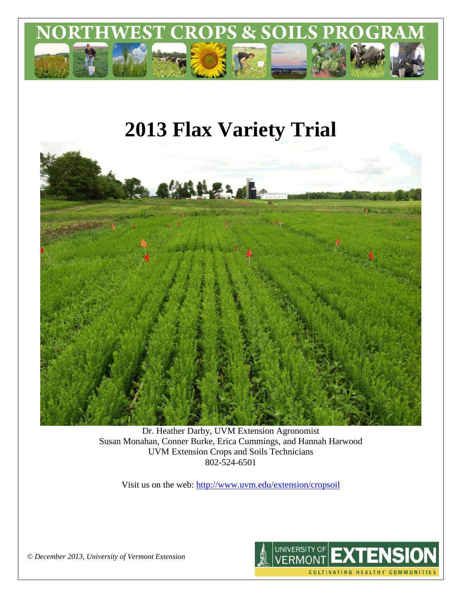

# **2013 Flax Variety Trial**



Dr. Heather Darby, UVM Extension Agronomist Susan Monahan, Conner Burke, Erica Cummings, and Hannah Harwood UVM Extension Crops and Soils Technicians 802-524-6501

Visit us on the web: <http://www.uvm.edu/extension/cropsoil>



*© December 2013, University of Vermont Extension*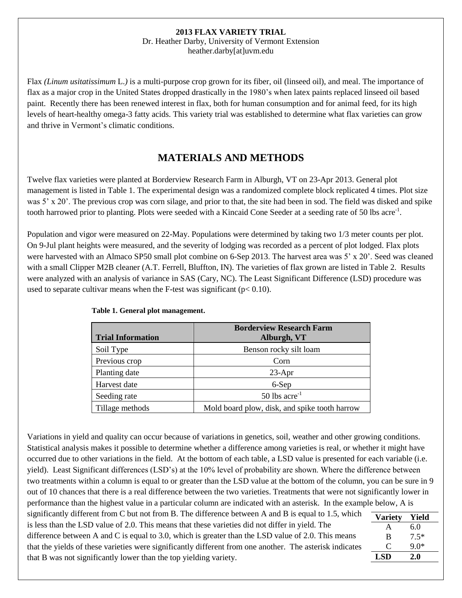#### **2013 FLAX VARIETY TRIAL**

Dr. Heather Darby, University of Vermont Extension heather.darby[at]uvm.edu

Flax *(Linum usitatissimum* L.*)* is a multi-purpose crop grown for its fiber, oil (linseed oil), and meal. The importance of flax as a major crop in the United States dropped drastically in the 1980's when latex paints replaced linseed oil based paint. Recently there has been renewed interest in flax, both for human consumption and for animal feed, for its high levels of heart-healthy omega-3 fatty acids. This variety trial was established to determine what flax varieties can grow and thrive in Vermont's climatic conditions.

## **MATERIALS AND METHODS**

Twelve flax varieties were planted at Borderview Research Farm in Alburgh, VT on 23-Apr 2013. General plot management is listed in Table 1. The experimental design was a randomized complete block replicated 4 times. Plot size was 5' x 20'. The previous crop was corn silage, and prior to that, the site had been in sod. The field was disked and spike tooth harrowed prior to planting. Plots were seeded with a Kincaid Cone Seeder at a seeding rate of 50 lbs acre<sup>-1</sup>.

Population and vigor were measured on 22-May. Populations were determined by taking two 1/3 meter counts per plot. On 9-Jul plant heights were measured, and the severity of lodging was recorded as a percent of plot lodged. Flax plots were harvested with an Almaco SP50 small plot combine on 6-Sep 2013. The harvest area was 5' x 20'. Seed was cleaned with a small Clipper M2B cleaner (A.T. Ferrell, Bluffton, IN). The varieties of flax grown are listed in Table 2. Results were analyzed with an analysis of variance in SAS (Cary, NC). The Least Significant Difference (LSD) procedure was used to separate cultivar means when the F-test was significant ( $p < 0.10$ ).

| <b>Trial Information</b> | <b>Borderview Research Farm</b><br>Alburgh, VT |  |  |
|--------------------------|------------------------------------------------|--|--|
| Soil Type                | Benson rocky silt loam                         |  |  |
| Previous crop            | Corn                                           |  |  |
| Planting date            | $23-Apr$                                       |  |  |
| Harvest date             | 6-Sep                                          |  |  |
| Seeding rate             | 50 lbs $\arccos 50$                            |  |  |
| Tillage methods          | Mold board plow, disk, and spike tooth harrow  |  |  |

**Table 1. General plot management.**

Variations in yield and quality can occur because of variations in genetics, soil, weather and other growing conditions. Statistical analysis makes it possible to determine whether a difference among varieties is real, or whether it might have occurred due to other variations in the field. At the bottom of each table, a LSD value is presented for each variable (i.e. yield). Least Significant differences (LSD's) at the 10% level of probability are shown. Where the difference between two treatments within a column is equal to or greater than the LSD value at the bottom of the column, you can be sure in 9 out of 10 chances that there is a real difference between the two varieties. Treatments that were not significantly lower in performance than the highest value in a particular column are indicated with an asterisk. In the example below, A is significantly different from C but not from B. The difference between A and B is equal to 1.5, which is less than the LSD value of 2.0. This means that these varieties did not differ in yield. The difference between A and C is equal to 3.0, which is greater than the LSD value of 2.0. This means that the yields of these varieties were significantly different from one another. The asterisk indicates that B was not significantly lower than the top yielding variety. **Variety Yield** A 6.0 B 7.5\*  $C = 9.0*$ **LSD 2.0**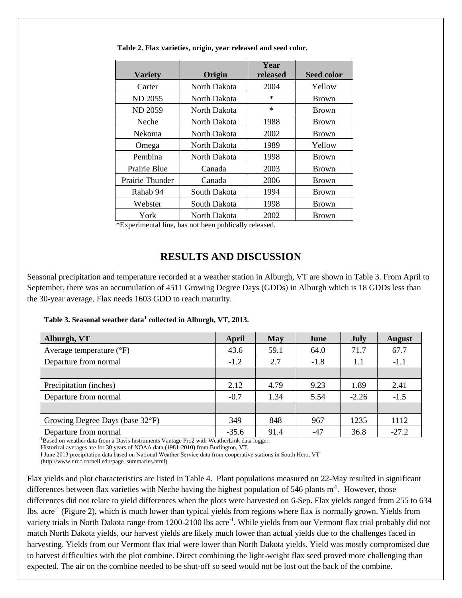| <b>Variety</b>         | Origin       | Year<br>released | Seed color   |
|------------------------|--------------|------------------|--------------|
| Carter                 | North Dakota | 2004             | Yellow       |
| <b>ND 2055</b>         | North Dakota | $\ast$           | <b>Brown</b> |
| <b>ND 2059</b>         | North Dakota | $\ast$           | <b>Brown</b> |
| Neche                  | North Dakota | 1988             | <b>Brown</b> |
| Nekoma                 | North Dakota | 2002             | <b>Brown</b> |
| Omega                  | North Dakota | 1989             | Yellow       |
| Pembina                | North Dakota | 1998             | <b>Brown</b> |
| Prairie Blue           | Canada       | 2003             | <b>Brown</b> |
| <b>Prairie Thunder</b> | Canada       | 2006             | <b>Brown</b> |
| Rahab 94               | South Dakota | 1994             | <b>Brown</b> |
| Webster                | South Dakota | 1998             | <b>Brown</b> |
| York                   | North Dakota | 2002             | <b>Brown</b> |

**Table 2. Flax varieties, origin, year released and seed color.** 

\*Experimental line, has not been publically released.

### **RESULTS AND DISCUSSION**

Seasonal precipitation and temperature recorded at a weather station in Alburgh, VT are shown in Table 3. From April to September, there was an accumulation of 4511 Growing Degree Days (GDDs) in Alburgh which is 18 GDDs less than the 30-year average. Flax needs 1603 GDD to reach maturity.

|  | Table 3. Seasonal weather data <sup>1</sup> collected in Alburgh, VT, 2013. |  |
|--|-----------------------------------------------------------------------------|--|
|  |                                                                             |  |

| Alburgh, VT                         | April   | <b>May</b> | June   | July    | <b>August</b> |
|-------------------------------------|---------|------------|--------|---------|---------------|
| Average temperature $({}^{\circ}F)$ | 43.6    | 59.1       | 64.0   | 71.7    | 67.7          |
| Departure from normal               | $-1.2$  | 2.7        | $-1.8$ | 1.1     | $-1.1$        |
|                                     |         |            |        |         |               |
| Precipitation (inches)              | 2.12    | 4.79       | 9.23   | 1.89    | 2.41          |
| Departure from normal               | $-0.7$  | 1.34       | 5.54   | $-2.26$ | $-1.5$        |
|                                     |         |            |        |         |               |
| Growing Degree Days (base 32°F)     | 349     | 848        | 967    | 1235    | 1112          |
| Departure from normal               | $-35.6$ | 91.4       | $-47$  | 36.8    | $-27.2$       |

<sup>1</sup>Based on weather data from a Davis Instruments Vantage Pro2 with WeatherLink data logger.

Historical averages are for 30 years of NOAA data (1981-2010) from Burlington, VT.

ⱡ June 2013 precipitation data based on National Weather Service data from cooperative stations in South Hero, VT

(http://www.nrcc.cornell.edu/page\_summaries.html)

Flax yields and plot characteristics are listed in Table 4. Plant populations measured on 22-May resulted in significant differences between flax varieties with Neche having the highest population of 546 plants  $m<sup>-2</sup>$ . However, those differences did not relate to yield differences when the plots were harvested on 6-Sep. Flax yields ranged from 255 to 634 lbs. acre<sup>-1</sup> (Figure 2), which is much lower than typical yields from regions where flax is normally grown. Yields from variety trials in North Dakota range from 1200-2100 lbs acre<sup>-1</sup>. While yields from our Vermont flax trial probably did not match North Dakota yields, our harvest yields are likely much lower than actual yields due to the challenges faced in harvesting. Yields from our Vermont flax trial were lower than North Dakota yields. Yield was mostly compromised due to harvest difficulties with the plot combine. Direct combining the light-weight flax seed proved more challenging than expected. The air on the combine needed to be shut-off so seed would not be lost out the back of the combine.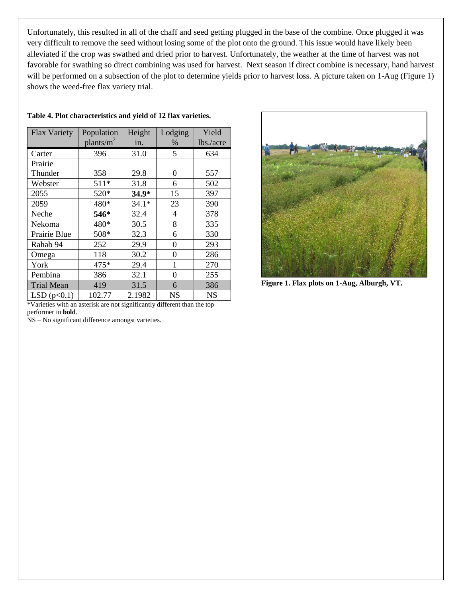Unfortunately, this resulted in all of the chaff and seed getting plugged in the base of the combine. Once plugged it was very difficult to remove the seed without losing some of the plot onto the ground. This issue would have likely been alleviated if the crop was swathed and dried prior to harvest. Unfortunately, the weather at the time of harvest was not favorable for swathing so direct combining was used for harvest. Next season if direct combine is necessary, hand harvest will be performed on a subsection of the plot to determine yields prior to harvest loss. A picture taken on 1-Aug (Figure 1) shows the weed-free flax variety trial.

| <b>Flax Variety</b>   | Population    | Height  | Lodging           | Yield                        |
|-----------------------|---------------|---------|-------------------|------------------------------|
|                       | plants/ $m^2$ | in.     | %                 | lbs./acre                    |
| Carter                | 396           | 31.0    | 5                 | 634                          |
| Prairie               |               |         |                   |                              |
| Thunder               | 358           | 29.8    | 0                 | 557                          |
| Webster               | $511*$        | 31.8    | 6                 | 502                          |
| 2055                  | 520*          | $34.9*$ | 15                | 397                          |
| 2059                  | 480*          | $34.1*$ | 23                | 390                          |
| Neche                 | 546*          | 32.4    | 4                 | 378                          |
| Nekoma                | 480*          | 30.5    | 8                 | 335                          |
| Prairie Blue          | 508*          | 32.3    | 6                 | 330                          |
| Rahab 94              | 252           | 29.9    | 0                 | 293                          |
| Omega                 | 118           | 30.2    | 0                 | 286                          |
| York                  | 475*          | 29.4    | 1                 | 270                          |
| Pembina               | 386           | 32.1    | 0                 | 255                          |
| <b>Trial Mean</b>     | 419           | 31.5    | 6                 | 386                          |
| LSD $(p<0.1)$<br>1.77 | 102.77        | 2.1982  | <b>NS</b><br>1.00 | <b>NS</b><br>$\sim$ 10 $\pm$ |

#### **Table 4. Plot characteristics and yield of 12 flax varieties.**

\*Varieties with an asterisk are not significantly different than the top performer in **bold**.

NS – No significant difference amongst varieties.



**Figure 1. Flax plots on 1-Aug, Alburgh, VT.**